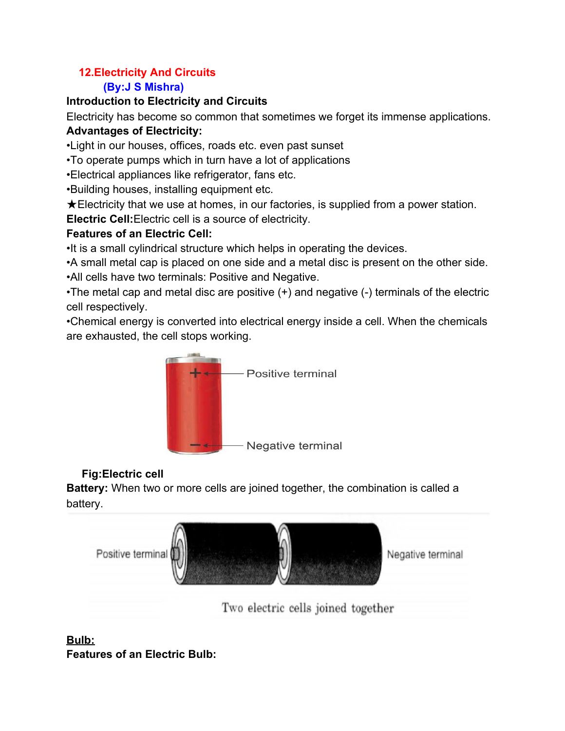## **12.Electricity And Circuits**

## **(By:J S Mishra)**

### **Introduction to Electricity and Circuits**

Electricity has become so common that sometimes we forget its immense applications.

## **Advantages of Electricity:**

•Light in our houses, offices, roads etc. even past sunset

•To operate pumps which in turn have a lot of applications

•Electrical appliances like refrigerator, fans etc.

•Building houses, installing equipment etc.

 $\bigstar$ Electricity that we use at homes, in our factories, is supplied from a power station.

**Electric Cell:**Electric cell is a source of electricity.

## **Features of an Electric Cell:**

•It is a small cylindrical structure which helps in operating the devices.

•A small metal cap is placed on one side and a metal disc is present on the other side.

•All cells have two terminals: Positive and Negative.

•The metal cap and metal disc are positive (+) and negative (-) terminals of the electric cell respectively.

•Chemical energy is converted into electrical energy inside a cell. When the chemicals are exhausted, the cell stops working.



## **Fig:Electric cell**

**Battery:** When two or more cells are joined together, the combination is called a battery.



Two electric cells joined together

### **Bulb: Features of an Electric Bulb:**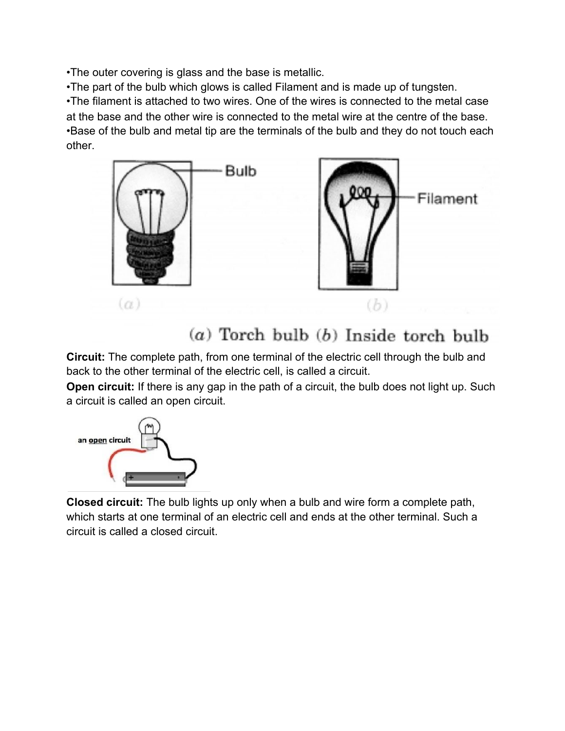•The outer covering is glass and the base is metallic.

•The part of the bulb which glows is called Filament and is made up of tungsten.

•The filament is attached to two wires. One of the wires is connected to the metal case at the base and the other wire is connected to the metal wire at the centre of the base. •Base of the bulb and metal tip are the terminals of the bulb and they do not touch each other.



## $(a)$  Torch bulb  $(b)$  Inside torch bulb

**Circuit:** The complete path, from one terminal of the electric cell through the bulb and back to the other terminal of the electric cell, is called a circuit.

**Open circuit:** If there is any gap in the path of a circuit, the bulb does not light up. Such a circuit is called an open circuit.



**Closed circuit:** The bulb lights up only when a bulb and wire form a complete path, which starts at one terminal of an electric cell and ends at the other terminal. Such a circuit is called a closed circuit.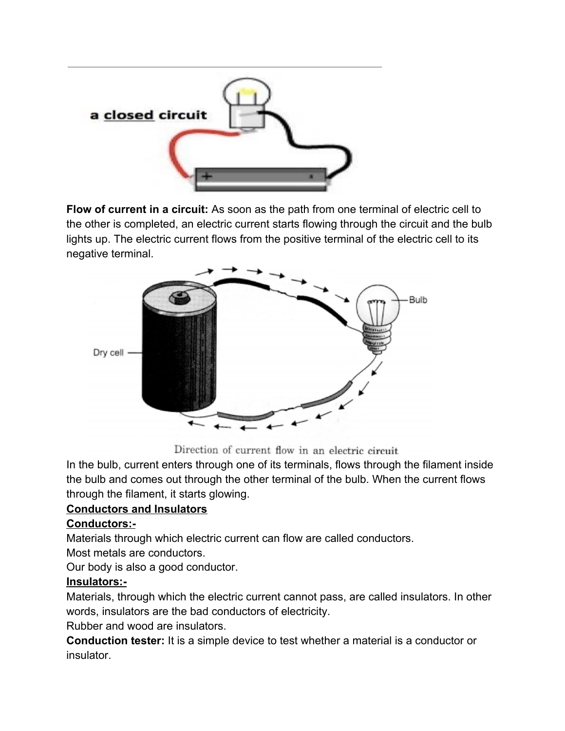

**Flow of current in a circuit:** As soon as the path from one terminal of electric cell to the other is completed, an electric current starts flowing through the circuit and the bulb lights up. The electric current flows from the positive terminal of the electric cell to its negative terminal.



Direction of current flow in an electric circuit

In the bulb, current enters through one of its terminals, flows through the filament inside the bulb and comes out through the other terminal of the bulb. When the current flows through the filament, it starts glowing.

### **Conductors and Insulators**

#### **Conductors:-**

Materials through which electric current can flow are called conductors.

Most metals are conductors.

Our body is also a good conductor.

#### **Insulators:-**

Materials, through which the electric current cannot pass, are called insulators. In other words, insulators are the bad conductors of electricity.

Rubber and wood are insulators.

**Conduction tester:** It is a simple device to test whether a material is a conductor or insulator.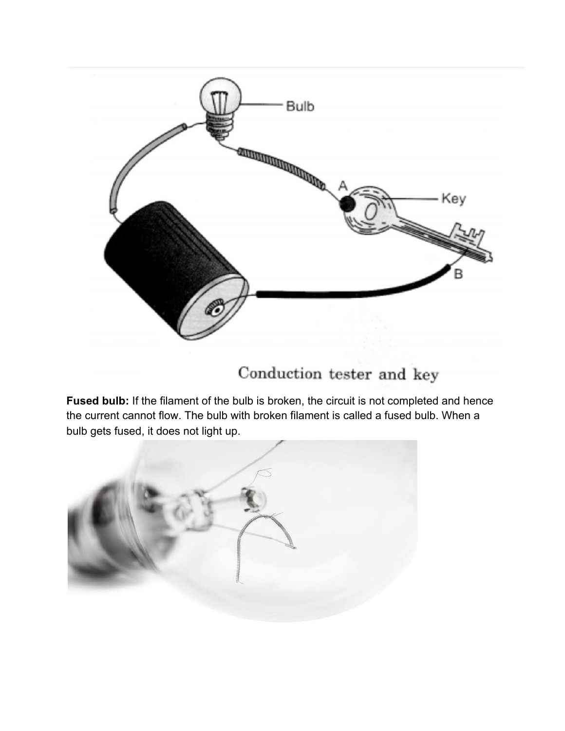

# Conduction tester and key

**Fused bulb:** If the filament of the bulb is broken, the circuit is not completed and hence the current cannot flow. The bulb with broken filament is called a fused bulb. When a bulb gets fused, it does not light up.

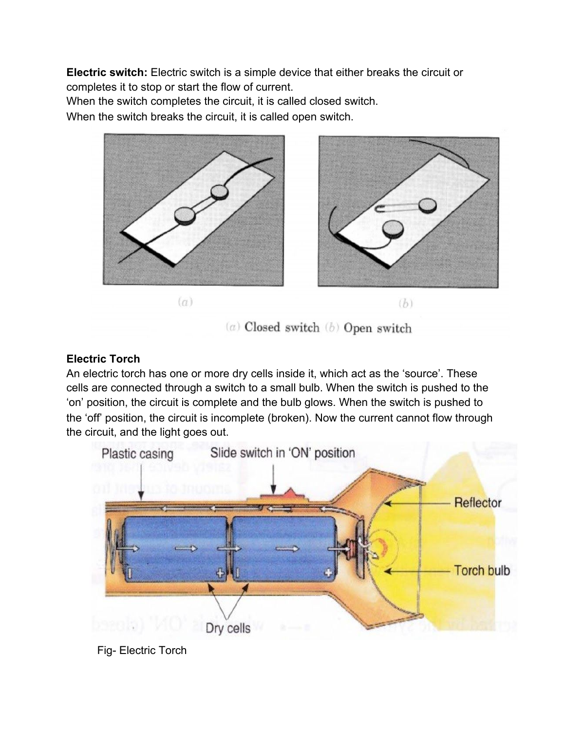**Electric switch:** Electric switch is a simple device that either breaks the circuit or completes it to stop or start the flow of current.

When the switch completes the circuit, it is called closed switch.

When the switch breaks the circuit, it is called open switch.



 $(a)$  Closed switch  $(b)$  Open switch

### **Electric Torch**

An electric torch has one or more dry cells inside it, which act as the 'source'. These cells are connected through a switch to a small bulb. When the switch is pushed to the 'on' position, the circuit is complete and the bulb glows. When the switch is pushed to the 'off' position, the circuit is incomplete (broken). Now the current cannot flow through the circuit, and the light goes out.



Fig- Electric Torch